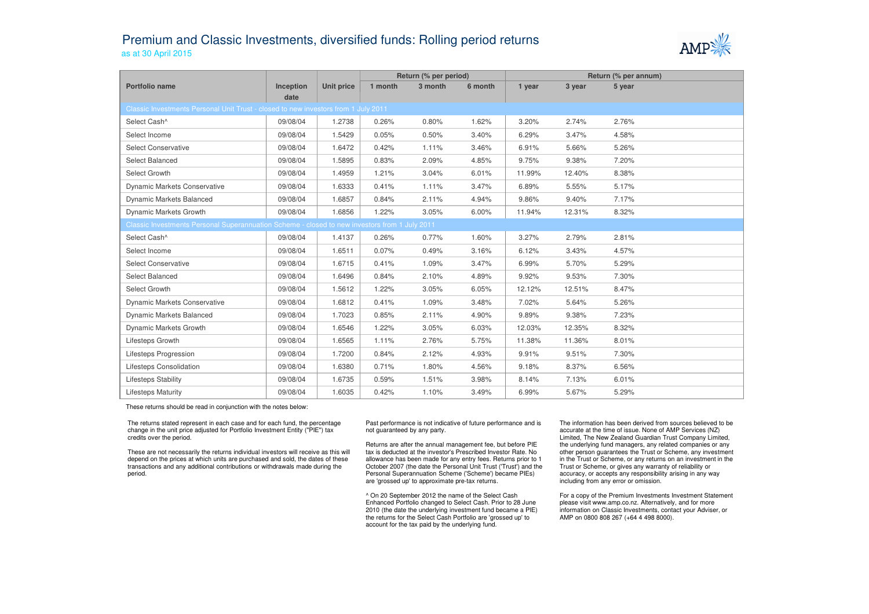## Premium and Classic Investments, diversified funds: Rolling period returnsas at 30 April 2015



|                                                                                               |           |            | Return (% per period) |         |         | Return (% per annum) |        |        |  |  |  |
|-----------------------------------------------------------------------------------------------|-----------|------------|-----------------------|---------|---------|----------------------|--------|--------|--|--|--|
| Portfolio name                                                                                | Inception | Unit price | 1 month               | 3 month | 6 month | 1 year               | 3 year | 5 year |  |  |  |
| date                                                                                          |           |            |                       |         |         |                      |        |        |  |  |  |
| Classic Investments Personal Unit Trust - closed to new investors from 1 July 2011            |           |            |                       |         |         |                      |        |        |  |  |  |
| Select Cash^                                                                                  | 09/08/04  | 1.2738     | 0.26%                 | 0.80%   | 1.62%   | 3.20%                | 2.74%  | 2.76%  |  |  |  |
| Select Income                                                                                 | 09/08/04  | 1.5429     | 0.05%                 | 0.50%   | 3.40%   | 6.29%                | 3.47%  | 4.58%  |  |  |  |
| <b>Select Conservative</b>                                                                    | 09/08/04  | 1.6472     | 0.42%                 | 1.11%   | 3.46%   | 6.91%                | 5.66%  | 5.26%  |  |  |  |
| Select Balanced                                                                               | 09/08/04  | 1.5895     | 0.83%                 | 2.09%   | 4.85%   | 9.75%                | 9.38%  | 7.20%  |  |  |  |
| Select Growth                                                                                 | 09/08/04  | 1.4959     | 1.21%                 | 3.04%   | 6.01%   | 11.99%               | 12.40% | 8.38%  |  |  |  |
| Dynamic Markets Conservative                                                                  | 09/08/04  | 1.6333     | 0.41%                 | 1.11%   | 3.47%   | 6.89%                | 5.55%  | 5.17%  |  |  |  |
| <b>Dynamic Markets Balanced</b>                                                               | 09/08/04  | 1.6857     | 0.84%                 | 2.11%   | 4.94%   | 9.86%                | 9.40%  | 7.17%  |  |  |  |
| Dynamic Markets Growth                                                                        | 09/08/04  | 1.6856     | 1.22%                 | 3.05%   | 6.00%   | 11.94%               | 12.31% | 8.32%  |  |  |  |
| Classic Investments Personal Superannuation Scheme - closed to new investors from 1 July 2011 |           |            |                       |         |         |                      |        |        |  |  |  |
| Select Cash^                                                                                  | 09/08/04  | 1.4137     | 0.26%                 | 0.77%   | 1.60%   | 3.27%                | 2.79%  | 2.81%  |  |  |  |
| Select Income                                                                                 | 09/08/04  | 1.6511     | 0.07%                 | 0.49%   | 3.16%   | 6.12%                | 3.43%  | 4.57%  |  |  |  |
| <b>Select Conservative</b>                                                                    | 09/08/04  | 1.6715     | 0.41%                 | 1.09%   | 3.47%   | 6.99%                | 5.70%  | 5.29%  |  |  |  |
| Select Balanced                                                                               | 09/08/04  | 1.6496     | 0.84%                 | 2.10%   | 4.89%   | 9.92%                | 9.53%  | 7.30%  |  |  |  |
| Select Growth                                                                                 | 09/08/04  | 1.5612     | 1.22%                 | 3.05%   | 6.05%   | 12.12%               | 12.51% | 8.47%  |  |  |  |
| Dynamic Markets Conservative                                                                  | 09/08/04  | 1.6812     | 0.41%                 | 1.09%   | 3.48%   | 7.02%                | 5.64%  | 5.26%  |  |  |  |
| Dynamic Markets Balanced                                                                      | 09/08/04  | 1.7023     | 0.85%                 | 2.11%   | 4.90%   | 9.89%                | 9.38%  | 7.23%  |  |  |  |
| Dynamic Markets Growth                                                                        | 09/08/04  | 1.6546     | 1.22%                 | 3.05%   | 6.03%   | 12.03%               | 12.35% | 8.32%  |  |  |  |
| Lifesteps Growth                                                                              | 09/08/04  | 1.6565     | 1.11%                 | 2.76%   | 5.75%   | 11.38%               | 11.36% | 8.01%  |  |  |  |
| Lifesteps Progression                                                                         | 09/08/04  | 1.7200     | 0.84%                 | 2.12%   | 4.93%   | 9.91%                | 9.51%  | 7.30%  |  |  |  |
| Lifesteps Consolidation                                                                       | 09/08/04  | 1.6380     | 0.71%                 | 1.80%   | 4.56%   | 9.18%                | 8.37%  | 6.56%  |  |  |  |
| <b>Lifesteps Stability</b>                                                                    | 09/08/04  | 1.6735     | 0.59%                 | 1.51%   | 3.98%   | 8.14%                | 7.13%  | 6.01%  |  |  |  |
| <b>Lifesteps Maturity</b>                                                                     | 09/08/04  | 1.6035     | 0.42%                 | 1.10%   | 3.49%   | 6.99%                | 5.67%  | 5.29%  |  |  |  |

These returns should be read in conjunction with the notes below:

The returns stated represent in each case and for each fund, the percentage change in the unit price adjusted for Portfolio Investment Entity ("PIE") tax credits over the period.

These are not necessarily the returns individual investors will receive as this will depend on the prices at which units are purchased and sold, the dates of these transactions and any additional contributions or withdrawals made during the period.

Past performance is not indicative of future performance and is not guaranteed by any party.

Returns are after the annual management fee, but before PIE tax is deducted at the investor's Prescribed Investor Rate. No allowance has been made for any entry fees. Returns prior to 1 October 2007 (the date the Personal Unit Trust ('Trust') and the Personal Superannuation Scheme ('Scheme') became PIEs) are 'grossed up' to approximate pre-tax returns.

^ On 20 September 2012 the name of the Select Cash Enhanced Portfolio changed to Select Cash. Prior to 28 June 2010 (the date the underlying investment fund became a PIE) the returns for the Select Cash Portfolio are 'grossed up' to account for the tax paid by the underlying fund.

The information has been derived from sources believed to be accurate at the time of issue. None of AMP Services (NZ) Limited, The New Zealand Guardian Trust Company Limited, the underlying fund managers, any related companies or any other person guarantees the Trust or Scheme, any investment in the Trust or Scheme, or any returns on an investment in the Trust or Scheme, or gives any warranty of reliability or accuracy, or accepts any responsibility arising in any way including from any error or omission.

For a copy of the Premium Investments Investment Statement please visit www.amp.co.nz. Alternatively, and for more information on Classic Investments, contact your Adviser, or AMP on 0800 808 267 (+64 4 498 8000).